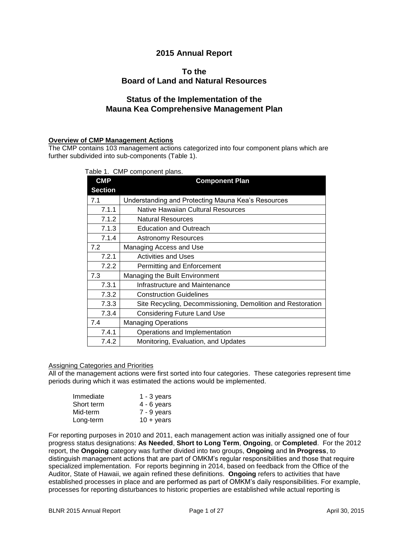# **2015 Annual Report**

## **To the Board of Land and Natural Resources**

# **Status of the Implementation of the Mauna Kea Comprehensive Management Plan**

### **Overview of CMP Management Actions**

The CMP contains 103 management actions categorized into four component plans which are further subdivided into sub-components (Table 1).

| Table 1. CMP component plans. |  |  |  |
|-------------------------------|--|--|--|
|-------------------------------|--|--|--|

| <b>CMP</b>     | <b>Component Plan</b>                                       |
|----------------|-------------------------------------------------------------|
| <b>Section</b> |                                                             |
| 7.1            | Understanding and Protecting Mauna Kea's Resources          |
| 7.1.1          | Native Hawaiian Cultural Resources                          |
| 7.1.2          | <b>Natural Resources</b>                                    |
| 7.1.3          | <b>Education and Outreach</b>                               |
| 7.1.4          | <b>Astronomy Resources</b>                                  |
| 7.2            | Managing Access and Use                                     |
| 7.2.1          | <b>Activities and Uses</b>                                  |
| 7.2.2          | Permitting and Enforcement                                  |
| 7.3            | Managing the Built Environment                              |
| 7.3.1          | Infrastructure and Maintenance                              |
| 7.3.2          | <b>Construction Guidelines</b>                              |
| 7.3.3          | Site Recycling, Decommissioning, Demolition and Restoration |
| 7.3.4          | <b>Considering Future Land Use</b>                          |
| 7.4            | <b>Managing Operations</b>                                  |
| 7.4.1          | Operations and Implementation                               |
| 7.4.2          | Monitoring, Evaluation, and Updates                         |

#### Assigning Categories and Priorities

All of the management actions were first sorted into four categories. These categories represent time periods during which it was estimated the actions would be implemented.

| Immediate  | $1 - 3$ years       |
|------------|---------------------|
| Short term | $4 - 6$ years       |
| Mid-term   | 7 - 9 years         |
| Long-term  | $10 + \text{years}$ |

For reporting purposes in 2010 and 2011, each management action was initially assigned one of four progress status designations: **As Needed**, **Short to Long Term**, **Ongoing**, or **Completed**. For the 2012 report, the **Ongoing** category was further divided into two groups, **Ongoing** and **In Progress**, to distinguish management actions that are part of OMKM's regular responsibilities and those that require specialized implementation. For reports beginning in 2014, based on feedback from the Office of the Auditor, State of Hawaii, we again refined these definitions. **Ongoing** refers to activities that have established processes in place and are performed as part of OMKM's daily responsibilities. For example, processes for reporting disturbances to historic properties are established while actual reporting is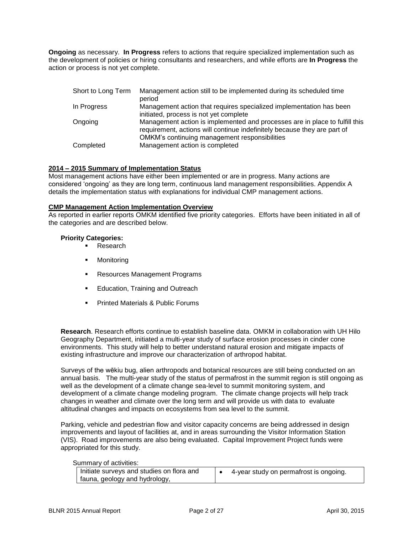**Ongoing** as necessary. **In Progress** refers to actions that require specialized implementation such as the development of policies or hiring consultants and researchers, and while efforts are **In Progress** the action or process is not yet complete.

| Short to Long Term | Management action still to be implemented during its scheduled time<br>period                                                                           |
|--------------------|---------------------------------------------------------------------------------------------------------------------------------------------------------|
| In Progress        | Management action that requires specialized implementation has been<br>initiated, process is not yet complete                                           |
| Ongoing            | Management action is implemented and processes are in place to fulfill this<br>requirement, actions will continue indefinitely because they are part of |
| Completed          | OMKM's continuing management responsibilities<br>Management action is completed                                                                         |

### **2014 – 2015 Summary of Implementation Status**

Most management actions have either been implemented or are in progress. Many actions are considered 'ongoing' as they are long term, continuous land management responsibilities. Appendix A details the implementation status with explanations for individual CMP management actions.

#### **CMP Management Action Implementation Overview**

As reported in earlier reports OMKM identified five priority categories. Efforts have been initiated in all of the categories and are described below.

#### **Priority Categories:**

- **Research**
- **Monitoring**
- **Resources Management Programs**
- **Education, Training and Outreach**
- **Printed Materials & Public Forums**

**Research**. Research efforts continue to establish baseline data. OMKM in collaboration with UH Hilo Geography Department, initiated a multi-year study of surface erosion processes in cinder cone environments. This study will help to better understand natural erosion and mitigate impacts of existing infrastructure and improve our characterization of arthropod habitat.

Surveys of the wēkiu bug, alien arthropods and botanical resources are still being conducted on an annual basis. The multi-year study of the status of permafrost in the summit region is still ongoing as well as the development of a climate change sea-level to summit monitoring system, and development of a climate change modeling program. The climate change projects will help track changes in weather and climate over the long term and will provide us with data to evaluate altitudinal changes and impacts on ecosystems from sea level to the summit.

Parking, vehicle and pedestrian flow and visitor capacity concerns are being addressed in design improvements and layout of facilities at, and in areas surrounding the Visitor Information Station (VIS). Road improvements are also being evaluated. Capital Improvement Project funds were appropriated for this study.

#### Summary of activities:

| Initiate surveys and studies on flora and | 4-year study on permafrost is ongoing. |
|-------------------------------------------|----------------------------------------|
| fauna, geology and hydrology,             |                                        |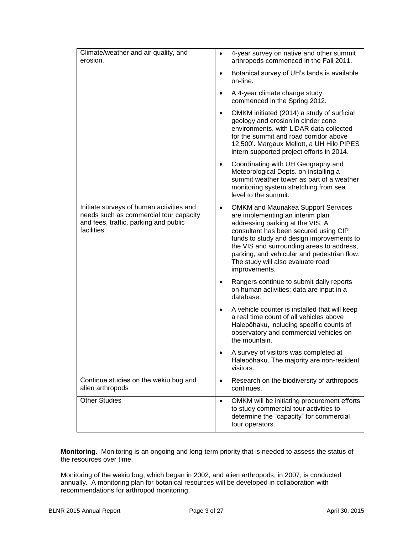| Climate/weather and air quality, and<br>erosion.                                                                                           | 4-year survey on native and other summit<br>$\bullet$<br>arthropods commenced in the Fall 2011.                                                                                                                                                                                                                                                                        |
|--------------------------------------------------------------------------------------------------------------------------------------------|------------------------------------------------------------------------------------------------------------------------------------------------------------------------------------------------------------------------------------------------------------------------------------------------------------------------------------------------------------------------|
|                                                                                                                                            | Botanical survey of UH's lands is available<br>$\bullet$<br>on-line.                                                                                                                                                                                                                                                                                                   |
|                                                                                                                                            | A 4-year climate change study<br>$\bullet$<br>commenced in the Spring 2012.                                                                                                                                                                                                                                                                                            |
|                                                                                                                                            | OMKM initiated (2014) a study of surficial<br>$\bullet$<br>geology and erosion in cinder cone<br>environments, with LiDAR data collected<br>for the summit and road corridor above<br>12,500'. Margaux Mellott, a UH Hilo PIPES<br>intern supported project efforts in 2014.                                                                                           |
|                                                                                                                                            | Coordinating with UH Geography and<br>Meteorological Depts. on installing a<br>summit weather tower as part of a weather<br>monitoring system stretching from sea<br>level to the summit.                                                                                                                                                                              |
| Initiate surveys of human activities and<br>needs such as commercial tour capacity<br>and fees, traffic, parking and public<br>facilities. | <b>OMKM and Maunakea Support Services</b><br>$\bullet$<br>are implementing an interim plan<br>addressing parking at the VIS. A<br>consultant has been secured using CIP<br>funds to study and design improvements to<br>the VIS and surrounding areas to address,<br>parking, and vehicular and pedestrian flow.<br>The study will also evaluate road<br>improvements. |
|                                                                                                                                            | Rangers continue to submit daily reports<br>on human activities; data are input in a<br>database.                                                                                                                                                                                                                                                                      |
|                                                                                                                                            | A vehicle counter is installed that will keep<br>a real time count of all vehicles above<br>Halepōhaku, including specific counts of<br>observatory and commercial vehicles on<br>the mountain.                                                                                                                                                                        |
|                                                                                                                                            | A survey of visitors was completed at<br>Halepōhaku. The majority are non-resident<br>visitors.                                                                                                                                                                                                                                                                        |
| Continue studies on the wēkiu bug and<br>alien arthropods                                                                                  | Research on the biodiversity of arthropods<br>$\bullet$<br>continues.                                                                                                                                                                                                                                                                                                  |
| <b>Other Studies</b>                                                                                                                       | OMKM will be initiating procurement efforts<br>$\bullet$<br>to study commercial tour activities to<br>determine the "capacity" for commercial<br>tour operators.                                                                                                                                                                                                       |

**Monitoring.** Monitoring is an ongoing and long-term priority that is needed to assess the status of the resources over time.

Monitoring of the wēkiu bug, which began in 2002, and alien arthropods, in 2007, is conducted annually. A monitoring plan for botanical resources will be developed in collaboration with recommendations for arthropod monitoring.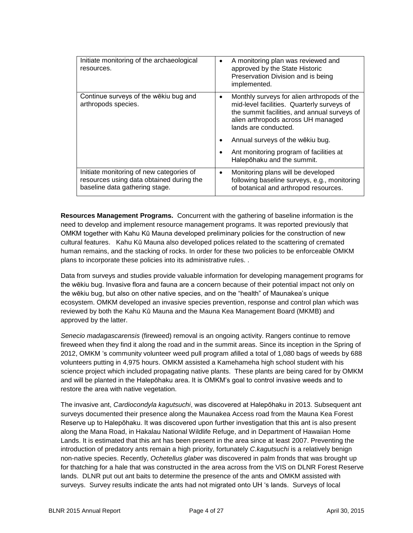| Initiate monitoring of the archaeological<br>resources.                                                                | A monitoring plan was reviewed and<br>$\bullet$<br>approved by the State Historic<br>Preservation Division and is being<br>implemented.                                                                              |
|------------------------------------------------------------------------------------------------------------------------|----------------------------------------------------------------------------------------------------------------------------------------------------------------------------------------------------------------------|
| Continue surveys of the wēkiu bug and<br>arthropods species.                                                           | Monthly surveys for alien arthropods of the<br>$\bullet$<br>mid-level facilities. Quarterly surveys of<br>the summit facilities, and annual surveys of<br>alien arthropods across UH managed<br>lands are conducted. |
|                                                                                                                        | Annual surveys of the wekiu bug.<br>$\bullet$                                                                                                                                                                        |
|                                                                                                                        | Ant monitoring program of facilities at<br>$\bullet$<br>Halepōhaku and the summit.                                                                                                                                   |
| Initiate monitoring of new categories of<br>resources using data obtained during the<br>baseline data gathering stage. | Monitoring plans will be developed<br>$\bullet$<br>following baseline surveys, e.g., monitoring<br>of botanical and arthropod resources.                                                                             |

**Resources Management Programs.** Concurrent with the gathering of baseline information is the need to develop and implement resource management programs. It was reported previously that OMKM together with Kahu Kū Mauna developed preliminary policies for the construction of new cultural features. Kahu Kū Mauna also developed polices related to the scattering of cremated human remains, and the stacking of rocks. In order for these two policies to be enforceable OMKM plans to incorporate these policies into its administrative rules. .

Data from surveys and studies provide valuable information for developing management programs for the wēkiu bug. Invasive flora and fauna are a concern because of their potential impact not only on the wēkiu bug, but also on other native species, and on the "health" of Maunakea's unique ecosystem. OMKM developed an invasive species prevention, response and control plan which was reviewed by both the Kahu Kū Mauna and the Mauna Kea Management Board (MKMB) and approved by the latter.

*Senecio madagascarensis* (fireweed) removal is an ongoing activity. Rangers continue to remove fireweed when they find it along the road and in the summit areas. Since its inception in the Spring of 2012, OMKM 's community volunteer weed pull program afilled a total of 1,080 bags of weeds by 688 volunteers putting in 4,975 hours. OMKM assisted a Kamehameha high school student with his science project which included propagating native plants. These plants are being cared for by OMKM and will be planted in the Halepōhaku area. It is OMKM's goal to control invasive weeds and to restore the area with native vegetation.

The invasive ant, *Cardiocondyla kagutsuchi*, was discovered at Halepōhaku in 2013. Subsequent ant surveys documented their presence along the Maunakea Access road from the Mauna Kea Forest Reserve up to Halepōhaku. It was discovered upon further investigation that this ant is also present along the Mana Road, in Hakalau National Wildlife Refuge, and in Department of Hawaiian Home Lands. It is estimated that this ant has been present in the area since at least 2007. Preventing the introduction of predatory ants remain a high priority, fortunately *C.kagutsuchi* is a relatively benign non-native species. Recently, *Ochetellus glaber* was discovered in palm fronds that was brought up for thatching for a hale that was constructed in the area across from the VIS on DLNR Forest Reserve lands. DLNR put out ant baits to determine the presence of the ants and OMKM assisted with surveys. Survey results indicate the ants had not migrated onto UH 's lands. Surveys of local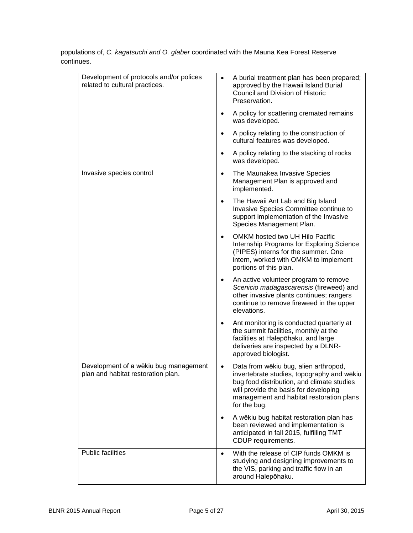| Development of protocols and/or polices<br>related to cultural practices.   | A burial treatment plan has been prepared;<br>approved by the Hawaii Island Burial<br>Council and Division of Historic<br>Preservation.                                                                                                             |
|-----------------------------------------------------------------------------|-----------------------------------------------------------------------------------------------------------------------------------------------------------------------------------------------------------------------------------------------------|
|                                                                             | A policy for scattering cremated remains<br>was developed.                                                                                                                                                                                          |
|                                                                             | A policy relating to the construction of<br>cultural features was developed.                                                                                                                                                                        |
|                                                                             | A policy relating to the stacking of rocks<br>was developed.                                                                                                                                                                                        |
| Invasive species control                                                    | The Maunakea Invasive Species<br>$\bullet$<br>Management Plan is approved and<br>implemented.                                                                                                                                                       |
|                                                                             | The Hawaii Ant Lab and Big Island<br>$\bullet$<br>Invasive Species Committee continue to<br>support implementation of the Invasive<br>Species Management Plan.                                                                                      |
|                                                                             | OMKM hosted two UH Hilo Pacific<br>$\bullet$<br>Internship Programs for Exploring Science<br>(PIPES) interns for the summer. One<br>intern, worked with OMKM to implement<br>portions of this plan.                                                 |
|                                                                             | An active volunteer program to remove<br>Scenicio madagascarensis (fireweed) and<br>other invasive plants continues; rangers<br>continue to remove fireweed in the upper<br>elevations.                                                             |
|                                                                             | Ant monitoring is conducted quarterly at<br>the summit facilities, monthly at the<br>facilities at Halepohaku, and large<br>deliveries are inspected by a DLNR-<br>approved biologist.                                                              |
| Development of a wēkiu bug management<br>plan and habitat restoration plan. | Data from wēkiu bug, alien arthropod,<br>$\bullet$<br>invertebrate studies, topography and wēkiu<br>bug food distribution, and climate studies<br>will provide the basis for developing<br>management and habitat restoration plans<br>for the bug. |
|                                                                             | A wēkiu bug habitat restoration plan has<br>been reviewed and implementation is<br>anticipated in fall 2015, fulfilling TMT<br>CDUP requirements.                                                                                                   |
| <b>Public facilities</b>                                                    | With the release of CIP funds OMKM is<br>$\bullet$<br>studying and designing improvements to<br>the VIS, parking and traffic flow in an<br>around Halepōhaku.                                                                                       |

populations of, *C. kagatsuchi and O. glaber* coordinated with the Mauna Kea Forest Reserve continues.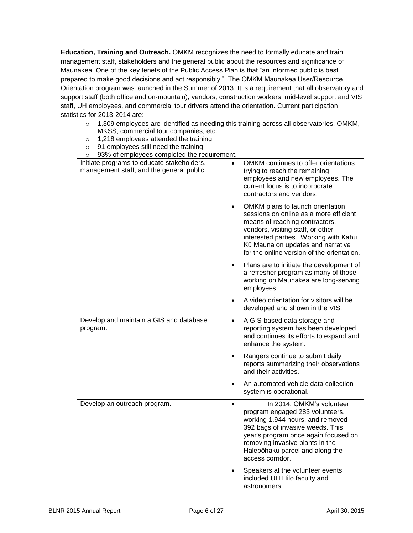**Education, Training and Outreach.** OMKM recognizes the need to formally educate and train management staff, stakeholders and the general public about the resources and significance of Maunakea. One of the key tenets of the Public Access Plan is that "an informed public is best prepared to make good decisions and act responsibly." The OMKM Maunakea User/Resource Orientation program was launched in the Summer of 2013. It is a requirement that all observatory and support staff (both office and on-mountain), vendors, construction workers, mid-level support and VIS staff, UH employees, and commercial tour drivers attend the orientation. Current participation statistics for 2013-2014 are:

- $\circ$  1,309 employees are identified as needing this training across all observatories, OMKM, MKSS, commercial tour companies, etc.
- o 1,218 employees attended the training
- o 91 employees still need the training
- $\circ$  93% of employees completed the requirement.

| ordinal completion of the control of the control of the control of the control of the control of the control o<br>Initiate programs to educate stakeholders,<br>management staff, and the general public. | OMKM continues to offer orientations<br>$\bullet$<br>trying to reach the remaining<br>employees and new employees. The<br>current focus is to incorporate<br>contractors and vendors.                                                                                               |
|-----------------------------------------------------------------------------------------------------------------------------------------------------------------------------------------------------------|-------------------------------------------------------------------------------------------------------------------------------------------------------------------------------------------------------------------------------------------------------------------------------------|
|                                                                                                                                                                                                           | OMKM plans to launch orientation<br>sessions on online as a more efficient<br>means of reaching contractors,<br>vendors, visiting staff, or other<br>interested parties. Working with Kahu<br>Kū Mauna on updates and narrative<br>for the online version of the orientation.       |
|                                                                                                                                                                                                           | Plans are to initiate the development of<br>a refresher program as many of those<br>working on Maunakea are long-serving<br>employees.                                                                                                                                              |
|                                                                                                                                                                                                           | A video orientation for visitors will be<br>developed and shown in the VIS.                                                                                                                                                                                                         |
| Develop and maintain a GIS and database<br>program.                                                                                                                                                       | A GIS-based data storage and<br>$\bullet$<br>reporting system has been developed<br>and continues its efforts to expand and<br>enhance the system.                                                                                                                                  |
|                                                                                                                                                                                                           | Rangers continue to submit daily<br>reports summarizing their observations<br>and their activities.                                                                                                                                                                                 |
|                                                                                                                                                                                                           | An automated vehicle data collection<br>system is operational.                                                                                                                                                                                                                      |
| Develop an outreach program.                                                                                                                                                                              | In 2014, OMKM's volunteer<br>$\bullet$<br>program engaged 283 volunteers,<br>working 1,944 hours, and removed<br>392 bags of invasive weeds. This<br>year's program once again focused on<br>removing invasive plants in the<br>Halepōhaku parcel and along the<br>access corridor. |
|                                                                                                                                                                                                           | Speakers at the volunteer events<br>included UH Hilo faculty and<br>astronomers.                                                                                                                                                                                                    |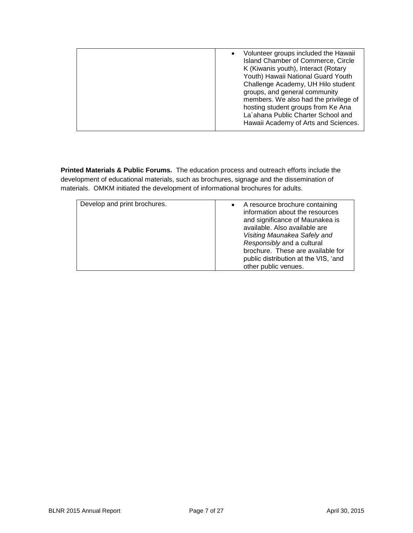| Volunteer groups included the Hawaii<br>Island Chamber of Commerce, Circle<br>K (Kiwanis youth), Interact (Rotary<br>Youth) Hawaii National Guard Youth<br>Challenge Academy, UH Hilo student<br>groups, and general community<br>members. We also had the privilege of<br>hosting student groups from Ke Ana<br>La'ahana Public Charter School and<br>Hawaii Academy of Arts and Sciences. |  |
|---------------------------------------------------------------------------------------------------------------------------------------------------------------------------------------------------------------------------------------------------------------------------------------------------------------------------------------------------------------------------------------------|--|
|                                                                                                                                                                                                                                                                                                                                                                                             |  |

**Printed Materials & Public Forums.** The education process and outreach efforts include the development of educational materials, such as brochures, signage and the dissemination of materials. OMKM initiated the development of informational brochures for adults.

| Develop and print brochures.<br>A resource brochure containing<br>information about the resources<br>and significance of Maunakea is                            |                               |
|-----------------------------------------------------------------------------------------------------------------------------------------------------------------|-------------------------------|
| Visiting Maunakea Safely and<br>Responsibly and a cultural<br>brochure. These are available for<br>public distribution at the VIS, 'and<br>other public venues. | available. Also available are |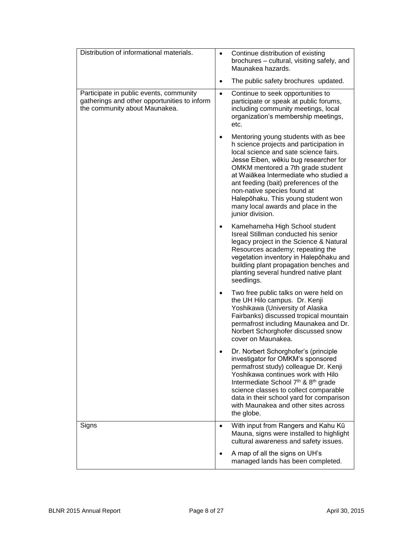| Distribution of informational materials.                                                                                 | Continue distribution of existing<br>$\bullet$<br>brochures - cultural, visiting safely, and<br>Maunakea hazards.                                                                                                                                                                                                                                                                                                       |
|--------------------------------------------------------------------------------------------------------------------------|-------------------------------------------------------------------------------------------------------------------------------------------------------------------------------------------------------------------------------------------------------------------------------------------------------------------------------------------------------------------------------------------------------------------------|
|                                                                                                                          | The public safety brochures updated.<br>٠                                                                                                                                                                                                                                                                                                                                                                               |
| Participate in public events, community<br>gatherings and other opportunities to inform<br>the community about Maunakea. | Continue to seek opportunities to<br>$\bullet$<br>participate or speak at public forums,<br>including community meetings, local<br>organization's membership meetings,<br>etc.                                                                                                                                                                                                                                          |
|                                                                                                                          | Mentoring young students with as bee<br>h science projects and participation in<br>local science and sate science fairs.<br>Jesse Eiben, wēkiu bug researcher for<br>OMKM mentored a 7th grade student<br>at Waiākea Intermediate who studied a<br>ant feeding (bait) preferences of the<br>non-native species found at<br>Halepōhaku. This young student won<br>many local awards and place in the<br>junior division. |
|                                                                                                                          | Kamehameha High School student<br>Isreal Stillman conducted his senior<br>legacy project in the Science & Natural<br>Resources academy; repeating the<br>vegetation inventory in Halepohaku and<br>building plant propagation benches and<br>planting several hundred native plant<br>seedlings.                                                                                                                        |
|                                                                                                                          | Two free public talks on were held on<br>the UH Hilo campus. Dr. Kenji<br>Yoshikawa (University of Alaska<br>Fairbanks) discussed tropical mountain<br>permafrost including Maunakea and Dr.<br>Norbert Schorghofer discussed snow<br>cover on Maunakea.                                                                                                                                                                |
|                                                                                                                          | Dr. Norbert Schorghofer's (principle<br>investigator for OMKM's sponsored<br>permafrost study) colleague Dr. Kenji<br>Yoshikawa continues work with Hilo<br>Intermediate School 7th & 8th grade<br>science classes to collect comparable<br>data in their school yard for comparison<br>with Maunakea and other sites across<br>the globe.                                                                              |
| Signs                                                                                                                    | With input from Rangers and Kahu Kū<br>$\bullet$<br>Mauna, signs were installed to highlight<br>cultural awareness and safety issues.                                                                                                                                                                                                                                                                                   |
|                                                                                                                          | A map of all the signs on UH's<br>managed lands has been completed.                                                                                                                                                                                                                                                                                                                                                     |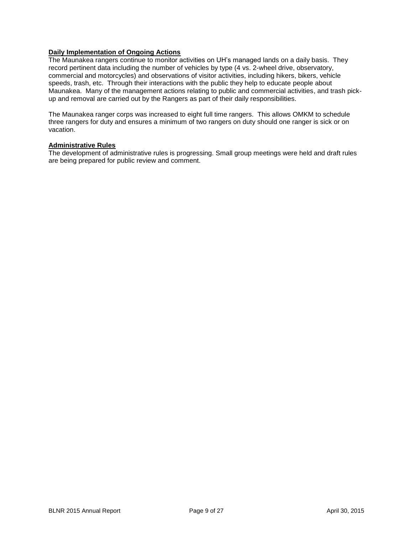## **Daily Implementation of Ongoing Actions**

The Maunakea rangers continue to monitor activities on UH's managed lands on a daily basis. They record pertinent data including the number of vehicles by type (4 vs. 2-wheel drive, observatory, commercial and motorcycles) and observations of visitor activities, including hikers, bikers, vehicle speeds, trash, etc. Through their interactions with the public they help to educate people about Maunakea. Many of the management actions relating to public and commercial activities, and trash pickup and removal are carried out by the Rangers as part of their daily responsibilities.

The Maunakea ranger corps was increased to eight full time rangers. This allows OMKM to schedule three rangers for duty and ensures a minimum of two rangers on duty should one ranger is sick or on vacation.

#### **Administrative Rules**

The development of administrative rules is progressing. Small group meetings were held and draft rules are being prepared for public review and comment.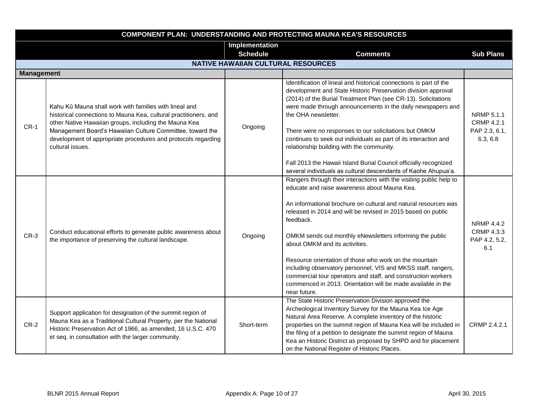|                   | <b>COMPONENT PLAN: UNDERSTANDING AND PROTECTING MAUNA KEA'S RESOURCES</b>                                                                                                                                                                                                                                                             |                                           |                                                                                                                                                                                                                                                                                                                                                                                                                                                                                                                                                                                                                                               |                                                              |  |
|-------------------|---------------------------------------------------------------------------------------------------------------------------------------------------------------------------------------------------------------------------------------------------------------------------------------------------------------------------------------|-------------------------------------------|-----------------------------------------------------------------------------------------------------------------------------------------------------------------------------------------------------------------------------------------------------------------------------------------------------------------------------------------------------------------------------------------------------------------------------------------------------------------------------------------------------------------------------------------------------------------------------------------------------------------------------------------------|--------------------------------------------------------------|--|
|                   |                                                                                                                                                                                                                                                                                                                                       | Implementation                            |                                                                                                                                                                                                                                                                                                                                                                                                                                                                                                                                                                                                                                               |                                                              |  |
|                   |                                                                                                                                                                                                                                                                                                                                       | <b>Schedule</b>                           | <b>Comments</b>                                                                                                                                                                                                                                                                                                                                                                                                                                                                                                                                                                                                                               | <b>Sub Plans</b>                                             |  |
|                   |                                                                                                                                                                                                                                                                                                                                       | <b>NATIVE HAWAIIAN CULTURAL RESOURCES</b> |                                                                                                                                                                                                                                                                                                                                                                                                                                                                                                                                                                                                                                               |                                                              |  |
| <b>Management</b> |                                                                                                                                                                                                                                                                                                                                       |                                           |                                                                                                                                                                                                                                                                                                                                                                                                                                                                                                                                                                                                                                               |                                                              |  |
| $CR-1$            | Kahu Kū Mauna shall work with families with lineal and<br>historical connections to Mauna Kea, cultural practitioners, and<br>other Native Hawaiian groups, including the Mauna Kea<br>Management Board's Hawaiian Culture Committee, toward the<br>development of appropriate procedures and protocols regarding<br>cultural issues. | Ongoing                                   | Identification of lineal and historical connections is part of the<br>development and State Historic Preservation division approval<br>(2014) of the Burial Treatment Plan (see CR-13). Solicitations<br>were made through announcements in the daily newspapers and<br>the OHA newsletter.<br>There were no responses to our solicitations but OMKM<br>continues to seek out individuals as part of its interaction and<br>relationship building with the community.<br>Fall 2013 the Hawaii Island Burial Council officially recognized<br>several individuals as cultural descendants of Kaohe Ahupua'a.                                   | NRMP 5.1.1<br><b>CRMP 4.2.1</b><br>PAP 2.3, 6.1,<br>6.3, 6.8 |  |
| $CR-3$            | Conduct educational efforts to generate public awareness about<br>the importance of preserving the cultural landscape.                                                                                                                                                                                                                | Ongoing                                   | Rangers through their interactions with the visiting public help to<br>educate and raise awareness about Mauna Kea.<br>An informational brochure on cultural and natural resources was<br>released in 2014 and will be revised in 2015 based on public<br>feedback.<br>OMKM sends out monthly eNewsletters informing the public<br>about OMKM and its activities.<br>Resource orientation of those who work on the mountain<br>including observatory personnel, VIS and MKSS staff, rangers,<br>commercial tour operators and staff, and construction workers<br>commenced in 2013. Orientation will be made available in the<br>near future. | <b>NRMP 4.4.2</b><br>CRMP 4.3.3<br>PAP 4.2, 5.2,<br>6.1      |  |
| $CR-2$            | Support application for designation of the summit region of<br>Mauna Kea as a Traditional Cultural Property, per the National<br>Historic Preservation Act of 1966, as amended, 16 U.S.C. 470<br>et seq. in consultation with the larger community.                                                                                   | Short-term                                | The State Historic Preservation Division approved the<br>Archeological Inventory Survey for the Mauna Kea Ice Age<br>Natural Area Reserve. A complete inventory of the historic<br>properties on the summit region of Mauna Kea will be included in<br>the filing of a petition to designate the summit region of Mauna<br>Kea an Historic District as proposed by SHPD and for placement<br>on the National Register of Historic Places.                                                                                                                                                                                                     | CRMP 2.4.2.1                                                 |  |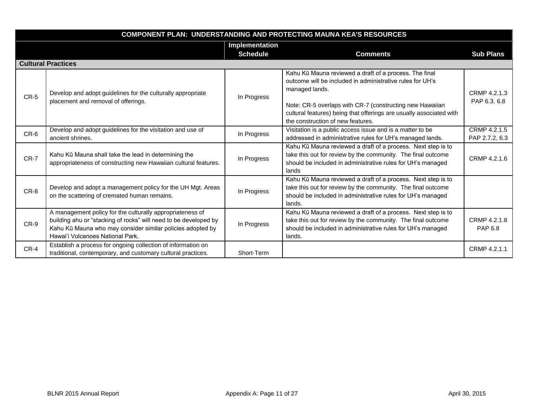|        | <b>COMPONENT PLAN: UNDERSTANDING AND PROTECTING MAUNA KEA'S RESOURCES</b>                                                                                                                                                       |                 |                                                                                                                                                                                                                                                                                                               |                                |  |
|--------|---------------------------------------------------------------------------------------------------------------------------------------------------------------------------------------------------------------------------------|-----------------|---------------------------------------------------------------------------------------------------------------------------------------------------------------------------------------------------------------------------------------------------------------------------------------------------------------|--------------------------------|--|
|        |                                                                                                                                                                                                                                 | Implementation  |                                                                                                                                                                                                                                                                                                               |                                |  |
|        |                                                                                                                                                                                                                                 | <b>Schedule</b> | <b>Comments</b>                                                                                                                                                                                                                                                                                               | <b>Sub Plans</b>               |  |
|        | <b>Cultural Practices</b>                                                                                                                                                                                                       |                 |                                                                                                                                                                                                                                                                                                               |                                |  |
| $CR-5$ | Develop and adopt guidelines for the culturally appropriate<br>placement and removal of offerings.                                                                                                                              | In Progress     | Kahu Kū Mauna reviewed a draft of a process. The final<br>outcome will be included in administrative rules for UH's<br>managed lands.<br>Note: CR-5 overlaps with CR-7 (constructing new Hawaiian<br>cultural features) being that offerings are usually associated with<br>the construction of new features. | CRMP 4.2.1.3<br>PAP 6.3. 6.8   |  |
| $CR-6$ | Develop and adopt guidelines for the visitation and use of<br>ancient shrines.                                                                                                                                                  | In Progress     | Visitation is a public access issue and is a matter to be<br>addressed in administrative rules for UH's managed lands.                                                                                                                                                                                        | CRMP 4.2.1.5<br>PAP 2.7.2, 6.3 |  |
| CR-7   | Kahu Kū Mauna shall take the lead in determining the<br>appropriateness of constructing new Hawaiian cultural features.                                                                                                         | In Progress     | Kahu Kū Mauna reviewed a draft of a process. Next step is to<br>take this out for review by the community. The final outcome<br>should be included in administrative rules for UH's managed<br>lands                                                                                                          | CRMP 4.2.1.6                   |  |
| CR-8   | Develop and adopt a management policy for the UH Mgt. Areas<br>on the scattering of cremated human remains.                                                                                                                     | In Progress     | Kahu Kū Mauna reviewed a draft of a process. Next step is to<br>take this out for review by the community. The final outcome<br>should be included in administrative rules for UH's managed<br>lands.                                                                                                         |                                |  |
| CR-9   | A management policy for the culturally appropriateness of<br>building ahu or "stacking of rocks" will need to be developed by<br>Kahu Kū Mauna who may consider similar policies adopted by<br>Hawai'i Volcanoes National Park. | In Progress     | Kahu Kū Mauna reviewed a draft of a process. Next step is to<br>take this out for review by the community. The final outcome<br>should be included in administrative rules for UH's managed<br>lands.                                                                                                         | CRMP 4.2.1.8<br>PAP 6.8        |  |
| CR-4   | Establish a process for ongoing collection of information on<br>traditional, contemporary, and customary cultural practices.                                                                                                    | Short-Term      |                                                                                                                                                                                                                                                                                                               | CRMP 4.2.1.1                   |  |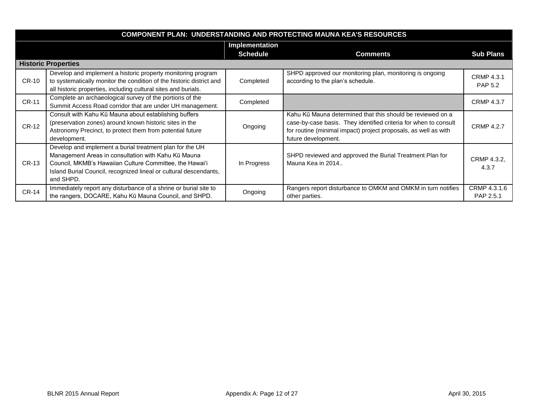|              | <b>COMPONENT PLAN: UNDERSTANDING AND PROTECTING MAUNA KEA'S RESOURCES</b>                                                                                                                                                                                    |                 |                                                                                                                                                                                                                          |                                     |  |
|--------------|--------------------------------------------------------------------------------------------------------------------------------------------------------------------------------------------------------------------------------------------------------------|-----------------|--------------------------------------------------------------------------------------------------------------------------------------------------------------------------------------------------------------------------|-------------------------------------|--|
|              |                                                                                                                                                                                                                                                              | Implementation  |                                                                                                                                                                                                                          |                                     |  |
|              |                                                                                                                                                                                                                                                              | <b>Schedule</b> | <b>Comments</b>                                                                                                                                                                                                          | <b>Sub Plans</b>                    |  |
|              | <b>Historic Properties</b>                                                                                                                                                                                                                                   |                 |                                                                                                                                                                                                                          |                                     |  |
| <b>CR-10</b> | Develop and implement a historic property monitoring program<br>to systematically monitor the condition of the historic district and<br>all historic properties, including cultural sites and burials.                                                       | Completed       | SHPD approved our monitoring plan, monitoring is ongoing<br>according to the plan's schedule.                                                                                                                            | <b>CRMP 4.3.1</b><br><b>PAP 5.2</b> |  |
| <b>CR-11</b> | Complete an archaeological survey of the portions of the<br>Summit Access Road corridor that are under UH management.                                                                                                                                        | Completed       |                                                                                                                                                                                                                          | <b>CRMP 4.3.7</b>                   |  |
| <b>CR-12</b> | Consult with Kahu Kū Mauna about establishing buffers<br>(preservation zones) around known historic sites in the<br>Astronomy Precinct, to protect them from potential future<br>development.                                                                | Ongoing         | Kahu Kū Mauna determined that this should be reviewed on a<br>case-by-case basis. They identified criteria for when to consult<br>for routine (minimal impact) project proposals, as well as with<br>future development. | <b>CRMP 4.2.7</b>                   |  |
| CR-13        | Develop and implement a burial treatment plan for the UH<br>Management Areas in consultation with Kahu Kū Mauna<br>Council, MKMB's Hawaiian Culture Committee, the Hawai'i<br>Island Burial Council, recognized lineal or cultural descendants,<br>and SHPD. | In Progress     | SHPD reviewed and approved the Burial Treatment Plan for<br>Mauna Kea in 2014                                                                                                                                            | CRMP 4.3.2,<br>4.3.7                |  |
| <b>CR-14</b> | Immediately report any disturbance of a shrine or burial site to<br>the rangers, DOCARE, Kahu Kū Mauna Council, and SHPD.                                                                                                                                    | Ongoing         | Rangers report disturbance to OMKM and OMKM in turn notifies<br>other parties.                                                                                                                                           | CRMP 4.3.1.6<br>PAP 2.5.1           |  |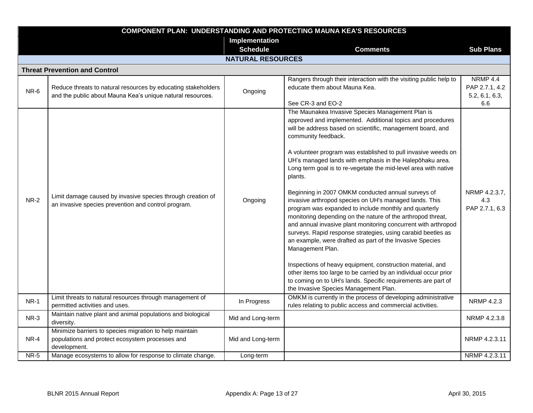|             | <b>COMPONENT PLAN: UNDERSTANDING AND PROTECTING MAUNA KEA'S RESOURCES</b>                                                   |                          |                                                                                                                                                                                                                                                                                                                                                                                                                                                                                                                                                                                                                                                                                                                                                                                                                                                                                                                                                                                                                                                                                                                      |                                                            |  |  |
|-------------|-----------------------------------------------------------------------------------------------------------------------------|--------------------------|----------------------------------------------------------------------------------------------------------------------------------------------------------------------------------------------------------------------------------------------------------------------------------------------------------------------------------------------------------------------------------------------------------------------------------------------------------------------------------------------------------------------------------------------------------------------------------------------------------------------------------------------------------------------------------------------------------------------------------------------------------------------------------------------------------------------------------------------------------------------------------------------------------------------------------------------------------------------------------------------------------------------------------------------------------------------------------------------------------------------|------------------------------------------------------------|--|--|
|             |                                                                                                                             | Implementation           |                                                                                                                                                                                                                                                                                                                                                                                                                                                                                                                                                                                                                                                                                                                                                                                                                                                                                                                                                                                                                                                                                                                      |                                                            |  |  |
|             |                                                                                                                             | <b>Schedule</b>          | <b>Comments</b>                                                                                                                                                                                                                                                                                                                                                                                                                                                                                                                                                                                                                                                                                                                                                                                                                                                                                                                                                                                                                                                                                                      | <b>Sub Plans</b>                                           |  |  |
|             |                                                                                                                             | <b>NATURAL RESOURCES</b> |                                                                                                                                                                                                                                                                                                                                                                                                                                                                                                                                                                                                                                                                                                                                                                                                                                                                                                                                                                                                                                                                                                                      |                                                            |  |  |
|             | <b>Threat Prevention and Control</b>                                                                                        |                          |                                                                                                                                                                                                                                                                                                                                                                                                                                                                                                                                                                                                                                                                                                                                                                                                                                                                                                                                                                                                                                                                                                                      |                                                            |  |  |
| NR-6        | Reduce threats to natural resources by educating stakeholders<br>and the public about Mauna Kea's unique natural resources. | Ongoing                  | Rangers through their interaction with the visiting public help to<br>educate them about Mauna Kea.<br>See CR-3 and EO-2                                                                                                                                                                                                                                                                                                                                                                                                                                                                                                                                                                                                                                                                                                                                                                                                                                                                                                                                                                                             | <b>NRMP 4.4</b><br>PAP 2.7.1, 4.2<br>5.2, 6.1, 6.3,<br>6.6 |  |  |
| $NR-2$      | Limit damage caused by invasive species through creation of<br>an invasive species prevention and control program.          | Ongoing                  | The Maunakea Invasive Species Management Plan is<br>approved and implemented. Additional topics and procedures<br>will be address based on scientific, management board, and<br>community feedback.<br>A volunteer program was established to pull invasive weeds on<br>UH's managed lands with emphasis in the Halepohaku area.<br>Long term goal is to re-vegetate the mid-level area with native<br>plants.<br>Beginning in 2007 OMKM conducted annual surveys of<br>invasive arthropod species on UH's managed lands. This<br>program was expanded to include monthly and quarterly<br>monitoring depending on the nature of the arthropod threat,<br>and annual invasive plant monitoring concurrent with arthropod<br>surveys. Rapid response strategies, using carabid beetles as<br>an example, were drafted as part of the Invasive Species<br>Management Plan.<br>Inspections of heavy equipment, construction material, and<br>other items too large to be carried by an individual occur prior<br>to coming on to UH's lands. Specific requirements are part of<br>the Invasive Species Management Plan. | NRMP 4.2.3.7,<br>4.3<br>PAP 2.7.1, 6.3                     |  |  |
| $NR-1$      | Limit threats to natural resources through management of<br>permitted activities and uses.                                  | In Progress              | OMKM is currently in the process of developing administrative<br>rules relating to public access and commercial activities.                                                                                                                                                                                                                                                                                                                                                                                                                                                                                                                                                                                                                                                                                                                                                                                                                                                                                                                                                                                          | NRMP 4.2.3                                                 |  |  |
| $NR-3$      | Maintain native plant and animal populations and biological<br>diversity.                                                   | Mid and Long-term        |                                                                                                                                                                                                                                                                                                                                                                                                                                                                                                                                                                                                                                                                                                                                                                                                                                                                                                                                                                                                                                                                                                                      | NRMP 4.2.3.8                                               |  |  |
| NR-4        | Minimize barriers to species migration to help maintain<br>populations and protect ecosystem processes and<br>development.  | Mid and Long-term        |                                                                                                                                                                                                                                                                                                                                                                                                                                                                                                                                                                                                                                                                                                                                                                                                                                                                                                                                                                                                                                                                                                                      | NRMP 4.2.3.11                                              |  |  |
| <b>NR-5</b> | Manage ecosystems to allow for response to climate change.                                                                  | Long-term                |                                                                                                                                                                                                                                                                                                                                                                                                                                                                                                                                                                                                                                                                                                                                                                                                                                                                                                                                                                                                                                                                                                                      | NRMP 4.2.3.11                                              |  |  |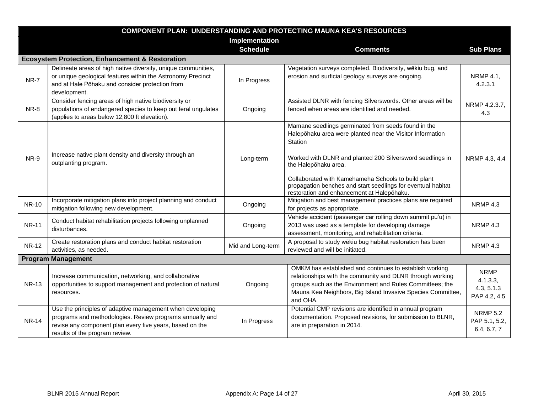|              | <b>COMPONENT PLAN: UNDERSTANDING AND PROTECTING MAUNA KEA'S RESOURCES</b>                                                                                                                                           |                   |                                                                                                                                                                                                                                                                                                                                                                                       |                                                       |  |
|--------------|---------------------------------------------------------------------------------------------------------------------------------------------------------------------------------------------------------------------|-------------------|---------------------------------------------------------------------------------------------------------------------------------------------------------------------------------------------------------------------------------------------------------------------------------------------------------------------------------------------------------------------------------------|-------------------------------------------------------|--|
|              |                                                                                                                                                                                                                     | Implementation    |                                                                                                                                                                                                                                                                                                                                                                                       |                                                       |  |
|              |                                                                                                                                                                                                                     | <b>Schedule</b>   | <b>Comments</b>                                                                                                                                                                                                                                                                                                                                                                       | <b>Sub Plans</b>                                      |  |
|              | <b>Ecosystem Protection, Enhancement &amp; Restoration</b>                                                                                                                                                          |                   |                                                                                                                                                                                                                                                                                                                                                                                       |                                                       |  |
| NR-7         | Delineate areas of high native diversity, unique communities,<br>or unique geological features within the Astronomy Precinct<br>and at Hale Pōhaku and consider protection from<br>development.                     | In Progress       | Vegetation surveys completed. Biodiversity, wēkiu bug, and<br>erosion and surficial geology surveys are ongoing.                                                                                                                                                                                                                                                                      | NRMP 4.1,<br>4.2.3.1                                  |  |
| NR-8         | Consider fencing areas of high native biodiversity or<br>populations of endangered species to keep out feral ungulates<br>(applies to areas below 12,800 ft elevation).                                             | Ongoing           | Assisted DLNR with fencing Silverswords. Other areas will be<br>fenced when areas are identified and needed.                                                                                                                                                                                                                                                                          | NRMP 4.2.3.7,<br>4.3                                  |  |
| NR-9         | Increase native plant density and diversity through an<br>outplanting program.                                                                                                                                      | Long-term         | Mamane seedlings germinated from seeds found in the<br>Halepōhaku area were planted near the Visitor Information<br>Station<br>Worked with DLNR and planted 200 Silversword seedlings in<br>the Halepōhaku area.<br>Collaborated with Kamehameha Schools to build plant<br>propagation benches and start seedlings for eventual habitat<br>restoration and enhancement at Halepōhaku. | NRMP 4.3, 4.4                                         |  |
| <b>NR-10</b> | Incorporate mitigation plans into project planning and conduct<br>mitigation following new development.                                                                                                             | Ongoing           | Mitigation and best management practices plans are required<br>for projects as appropriate.                                                                                                                                                                                                                                                                                           | NRMP <sub>4.3</sub>                                   |  |
| <b>NR-11</b> | Conduct habitat rehabilitation projects following unplanned<br>disturbances.                                                                                                                                        | Ongoing           | Vehicle accident (passenger car rolling down summit pu'u) in<br>2013 was used as a template for developing damage<br>assessment, monitoring, and rehabilitation criteria.                                                                                                                                                                                                             | NRMP <sub>4.3</sub>                                   |  |
| <b>NR-12</b> | Create restoration plans and conduct habitat restoration<br>activities, as needed.                                                                                                                                  | Mid and Long-term | A proposal to study wēkiu bug habitat restoration has been<br>reviewed and will be initiated.                                                                                                                                                                                                                                                                                         | NRMP 4.3                                              |  |
|              | <b>Program Management</b>                                                                                                                                                                                           |                   |                                                                                                                                                                                                                                                                                                                                                                                       |                                                       |  |
| <b>NR-13</b> | Increase communication, networking, and collaborative<br>opportunities to support management and protection of natural<br>resources.                                                                                | Ongoing           | OMKM has established and continues to establish working<br>relationships with the community and DLNR through working<br>groups such as the Environment and Rules Committees; the<br>Mauna Kea Neighbors, Big Island Invasive Species Committee,<br>and OHA.                                                                                                                           | <b>NRMP</b><br>4.1.3.3,<br>4.3, 5.1.3<br>PAP 4.2, 4.5 |  |
| <b>NR-14</b> | Use the principles of adaptive management when developing<br>programs and methodologies. Review programs annually and<br>revise any component plan every five years, based on the<br>results of the program review. | In Progress       | Potential CMP revisions are identified in annual program<br>documentation. Proposed revisions, for submission to BLNR,<br>are in preparation in 2014.                                                                                                                                                                                                                                 | <b>NRMP 5.2</b><br>PAP 5.1, 5.2,<br>6.4, 6.7, 7       |  |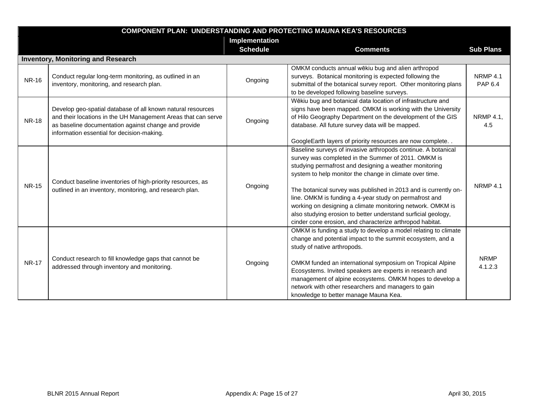|              | <b>COMPONENT PLAN: UNDERSTANDING AND PROTECTING MAUNA KEA'S RESOURCES</b>                                                                                                                                                          |                 |                                                                                                                                                                                                                                                                                                                                                                                                                                                                                                                                                                   |                                   |  |
|--------------|------------------------------------------------------------------------------------------------------------------------------------------------------------------------------------------------------------------------------------|-----------------|-------------------------------------------------------------------------------------------------------------------------------------------------------------------------------------------------------------------------------------------------------------------------------------------------------------------------------------------------------------------------------------------------------------------------------------------------------------------------------------------------------------------------------------------------------------------|-----------------------------------|--|
|              |                                                                                                                                                                                                                                    | Implementation  |                                                                                                                                                                                                                                                                                                                                                                                                                                                                                                                                                                   |                                   |  |
|              |                                                                                                                                                                                                                                    | <b>Schedule</b> | <b>Comments</b>                                                                                                                                                                                                                                                                                                                                                                                                                                                                                                                                                   | <b>Sub Plans</b>                  |  |
|              | <b>Inventory, Monitoring and Research</b>                                                                                                                                                                                          |                 |                                                                                                                                                                                                                                                                                                                                                                                                                                                                                                                                                                   |                                   |  |
| <b>NR-16</b> | Conduct regular long-term monitoring, as outlined in an<br>inventory, monitoring, and research plan.                                                                                                                               | Ongoing         | OMKM conducts annual wēkiu bug and alien arthropod<br>surveys. Botanical monitoring is expected following the<br>submittal of the botanical survey report. Other monitoring plans<br>to be developed following baseline surveys.                                                                                                                                                                                                                                                                                                                                  | <b>NRMP 4.1</b><br><b>PAP 6.4</b> |  |
| <b>NR-18</b> | Develop geo-spatial database of all known natural resources<br>and their locations in the UH Management Areas that can serve<br>as baseline documentation against change and provide<br>information essential for decision-making. | Ongoing         | Wēkiu bug and botanical data location of infrastructure and<br>signs have been mapped. OMKM is working with the University<br>of Hilo Geography Department on the development of the GIS<br>database. All future survey data will be mapped.<br>GoogleEarth layers of priority resources are now complete. .                                                                                                                                                                                                                                                      | NRMP 4.1,<br>4.5                  |  |
| <b>NR-15</b> | Conduct baseline inventories of high-priority resources, as<br>outlined in an inventory, monitoring, and research plan.                                                                                                            | Ongoing         | Baseline surveys of invasive arthropods continue. A botanical<br>survey was completed in the Summer of 2011. OMKM is<br>studying permafrost and designing a weather monitoring<br>system to help monitor the change in climate over time.<br>The botanical survey was published in 2013 and is currently on-<br>line. OMKM is funding a 4-year study on permafrost and<br>working on designing a climate monitoring network. OMKM is<br>also studying erosion to better understand surficial geology,<br>cinder cone erosion, and characterize arthropod habitat. | <b>NRMP 4.1</b>                   |  |
| <b>NR-17</b> | Conduct research to fill knowledge gaps that cannot be<br>addressed through inventory and monitoring.                                                                                                                              | Ongoing         | OMKM is funding a study to develop a model relating to climate<br>change and potential impact to the summit ecosystem, and a<br>study of native arthropods.<br>OMKM funded an international symposium on Tropical Alpine<br>Ecosystems. Invited speakers are experts in research and<br>management of alpine ecosystems. OMKM hopes to develop a<br>network with other researchers and managers to gain<br>knowledge to better manage Mauna Kea.                                                                                                                  | <b>NRMP</b><br>4.1.2.3            |  |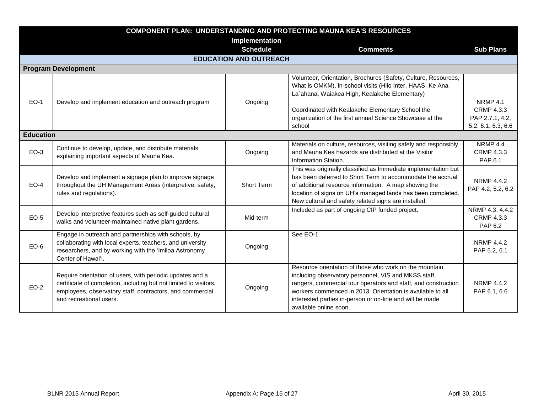|                  | <b>COMPONENT PLAN: UNDERSTANDING AND PROTECTING MAUNA KEA'S RESOURCES</b>                                                                                                                                              |                               |                                                                                                                                                                                                                                                                                                                                      |                                                                               |  |
|------------------|------------------------------------------------------------------------------------------------------------------------------------------------------------------------------------------------------------------------|-------------------------------|--------------------------------------------------------------------------------------------------------------------------------------------------------------------------------------------------------------------------------------------------------------------------------------------------------------------------------------|-------------------------------------------------------------------------------|--|
|                  |                                                                                                                                                                                                                        | Implementation                |                                                                                                                                                                                                                                                                                                                                      |                                                                               |  |
|                  |                                                                                                                                                                                                                        | <b>Schedule</b>               | <b>Comments</b>                                                                                                                                                                                                                                                                                                                      | <b>Sub Plans</b>                                                              |  |
|                  |                                                                                                                                                                                                                        | <b>EDUCATION AND OUTREACH</b> |                                                                                                                                                                                                                                                                                                                                      |                                                                               |  |
|                  | <b>Program Development</b>                                                                                                                                                                                             |                               |                                                                                                                                                                                                                                                                                                                                      |                                                                               |  |
| <b>EO-1</b>      | Develop and implement education and outreach program                                                                                                                                                                   | Ongoing                       | Volunteer, Orientation, Brochures (Safety, Culture, Resources,<br>What is OMKM), in-school visits (Hilo Inter, HAAS, Ke Ana<br>La'ahana, Waiakea High, Kealakehe Elementary)<br>Coordinated with Kealakehe Elementary School the<br>organization of the first annual Science Showcase at the<br>school                               | <b>NRMP 4.1</b><br><b>CRMP 4.3.3</b><br>PAP 2.7.1, 4.2,<br>5.2, 6.1, 6.3, 6.6 |  |
| <b>Education</b> |                                                                                                                                                                                                                        |                               |                                                                                                                                                                                                                                                                                                                                      |                                                                               |  |
| $EO-3$           | Continue to develop, update, and distribute materials<br>explaining important aspects of Mauna Kea.                                                                                                                    | Ongoing                       | Materials on culture, resources, visiting safely and responsibly<br>and Mauna Kea hazards are distributed at the Visitor<br>Information Station. .                                                                                                                                                                                   | <b>NRMP 4.4</b><br>CRMP 4.3.3<br>PAP 6.1                                      |  |
| $EO-4$           | Develop and implement a signage plan to improve signage<br>throughout the UH Management Areas (interpretive, safety,<br>rules and regulations).                                                                        | Short Term                    | This was originally classified as Immediate implementation but<br>has been deferred to Short Term to accommodate the accrual<br>of additional resource information. A map showing the<br>location of signs on UH's managed lands has been completed.<br>New cultural and safety related signs are installed.                         | <b>NRMP 4.4.2</b><br>PAP 4.2, 5.2, 6.2                                        |  |
| $EO-5$           | Develop interpretive features such as self-guided cultural<br>walks and volunteer-maintained native plant gardens.                                                                                                     | Mid-term                      | Included as part of ongoing CIP funded project.                                                                                                                                                                                                                                                                                      | NRMP 4.3, 4.4.2<br><b>CRMP 4.3.3</b><br>PAP 6.2                               |  |
| $EO-6$           | Engage in outreach and partnerships with schools, by<br>collaborating with local experts, teachers, and university<br>researchers, and by working with the 'Imiloa Astronomy<br>Center of Hawai'i.                     | Ongoing                       | See EO-1                                                                                                                                                                                                                                                                                                                             | NRMP 4.4.2<br>PAP 5.2, 6.1                                                    |  |
| $EO-2$           | Require orientation of users, with periodic updates and a<br>certificate of completion, including but not limited to visitors,<br>employees, observatory staff, contractors, and commercial<br>and recreational users. | Ongoing                       | Resource orientation of those who work on the mountain<br>including observatory personnel, VIS and MKSS staff,<br>rangers, commercial tour operators and staff, and construction<br>workers commenced in 2013. Orientation is available to all<br>interested parties in-person or on-line and will be made<br>available online soon. | <b>NRMP 4.4.2</b><br>PAP 6.1, 6.6                                             |  |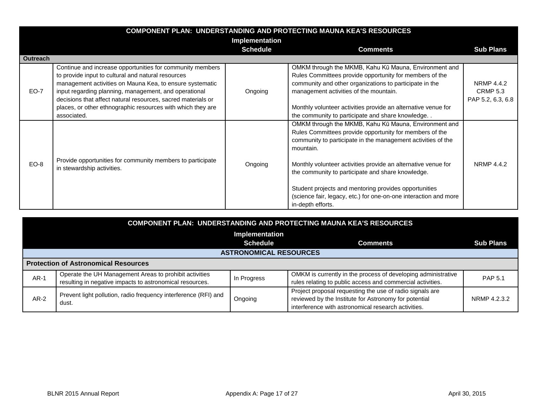|                 | <b>COMPONENT PLAN: UNDERSTANDING AND PROTECTING MAUNA KEA'S RESOURCES</b>                                                                                                                                                                                                                                                                                                          |                 |                                                                                                                                                                                                                                                                                                                                                                                                                                                                       |                                                           |  |
|-----------------|------------------------------------------------------------------------------------------------------------------------------------------------------------------------------------------------------------------------------------------------------------------------------------------------------------------------------------------------------------------------------------|-----------------|-----------------------------------------------------------------------------------------------------------------------------------------------------------------------------------------------------------------------------------------------------------------------------------------------------------------------------------------------------------------------------------------------------------------------------------------------------------------------|-----------------------------------------------------------|--|
|                 |                                                                                                                                                                                                                                                                                                                                                                                    | Implementation  |                                                                                                                                                                                                                                                                                                                                                                                                                                                                       |                                                           |  |
|                 |                                                                                                                                                                                                                                                                                                                                                                                    | <b>Schedule</b> | <b>Comments</b>                                                                                                                                                                                                                                                                                                                                                                                                                                                       | <b>Sub Plans</b>                                          |  |
| <b>Outreach</b> |                                                                                                                                                                                                                                                                                                                                                                                    |                 |                                                                                                                                                                                                                                                                                                                                                                                                                                                                       |                                                           |  |
| EO-7            | Continue and increase opportunities for community members<br>to provide input to cultural and natural resources<br>management activities on Mauna Kea, to ensure systematic<br>input regarding planning, management, and operational<br>decisions that affect natural resources, sacred materials or<br>places, or other ethnographic resources with which they are<br>associated. | Ongoing         | OMKM through the MKMB, Kahu Kū Mauna, Environment and<br>Rules Committees provide opportunity for members of the<br>community and other organizations to participate in the<br>management activities of the mountain.<br>Monthly volunteer activities provide an alternative venue for<br>the community to participate and share knowledge                                                                                                                            | <b>NRMP 4.4.2</b><br><b>CRMP 5.3</b><br>PAP 5.2, 6.3, 6.8 |  |
| EO-8            | Provide opportunities for community members to participate<br>in stewardship activities.                                                                                                                                                                                                                                                                                           | Ongoing         | OMKM through the MKMB, Kahu Kū Mauna, Environment and<br>Rules Committees provide opportunity for members of the<br>community to participate in the management activities of the<br>mountain.<br>Monthly volunteer activities provide an alternative venue for<br>the community to participate and share knowledge.<br>Student projects and mentoring provides opportunities<br>(science fair, legacy, etc.) for one-on-one interaction and more<br>in-depth efforts. | <b>NRMP 4.4.2</b>                                         |  |

|                | COMPONENT PLAN: UNDERSTANDING AND PROTECTING MAUNA KEA'S RESOURCES |                 |                                                               |                  |  |
|----------------|--------------------------------------------------------------------|-----------------|---------------------------------------------------------------|------------------|--|
| Implementation |                                                                    |                 |                                                               |                  |  |
|                |                                                                    | <b>Schedule</b> | <b>Comments</b>                                               | <b>Sub Plans</b> |  |
|                | <b>ASTRONOMICAL RESOURCES</b>                                      |                 |                                                               |                  |  |
|                | <b>Protection of Astronomical Resources</b>                        |                 |                                                               |                  |  |
| $AR-1$         | Operate the UH Management Areas to prohibit activities             | In Progress     | OMKM is currently in the process of developing administrative | <b>PAP 5.1</b>   |  |
|                | resulting in negative impacts to astronomical resources.           |                 | rules relating to public access and commercial activities.    |                  |  |
|                | Prevent light pollution, radio frequency interference (RFI) and    |                 | Project proposal requesting the use of radio signals are      |                  |  |
| $AR-2$         | dust.                                                              | Ongoing         | reviewed by the Institute for Astronomy for potential         | NRMP 4.2.3.2     |  |
|                |                                                                    |                 | interference with astronomical research activities.           |                  |  |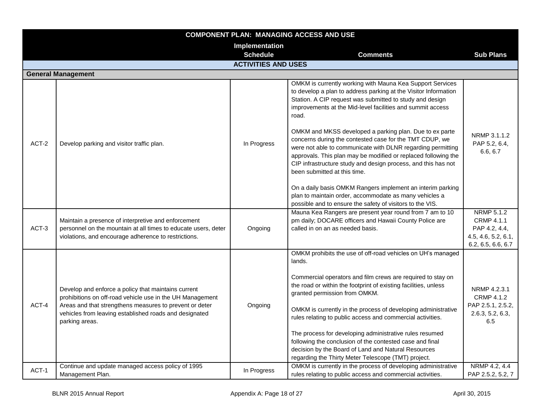|       | <b>COMPONENT PLAN: MANAGING ACCESS AND USE</b>                                                                                                                                                                                                          |                                                                                                                                                                                                                                 |                                                                                                                                                                                                                                                                                                                                                                                                                                                                                                                                                                                                              |                                                                                        |
|-------|---------------------------------------------------------------------------------------------------------------------------------------------------------------------------------------------------------------------------------------------------------|---------------------------------------------------------------------------------------------------------------------------------------------------------------------------------------------------------------------------------|--------------------------------------------------------------------------------------------------------------------------------------------------------------------------------------------------------------------------------------------------------------------------------------------------------------------------------------------------------------------------------------------------------------------------------------------------------------------------------------------------------------------------------------------------------------------------------------------------------------|----------------------------------------------------------------------------------------|
|       |                                                                                                                                                                                                                                                         | Implementation                                                                                                                                                                                                                  |                                                                                                                                                                                                                                                                                                                                                                                                                                                                                                                                                                                                              |                                                                                        |
|       |                                                                                                                                                                                                                                                         | <b>Schedule</b>                                                                                                                                                                                                                 | <b>Comments</b>                                                                                                                                                                                                                                                                                                                                                                                                                                                                                                                                                                                              | <b>Sub Plans</b>                                                                       |
|       |                                                                                                                                                                                                                                                         | <b>ACTIVITIES AND USES</b>                                                                                                                                                                                                      |                                                                                                                                                                                                                                                                                                                                                                                                                                                                                                                                                                                                              |                                                                                        |
|       | <b>General Management</b>                                                                                                                                                                                                                               |                                                                                                                                                                                                                                 |                                                                                                                                                                                                                                                                                                                                                                                                                                                                                                                                                                                                              |                                                                                        |
|       |                                                                                                                                                                                                                                                         |                                                                                                                                                                                                                                 | OMKM is currently working with Mauna Kea Support Services<br>to develop a plan to address parking at the Visitor Information<br>Station. A CIP request was submitted to study and design<br>improvements at the Mid-level facilities and summit access<br>road.                                                                                                                                                                                                                                                                                                                                              |                                                                                        |
| ACT-2 | Develop parking and visitor traffic plan.                                                                                                                                                                                                               | OMKM and MKSS developed a parking plan. Due to ex parte<br>In Progress<br>been submitted at this time.<br>possible and to ensure the safety of visitors to the VIS.<br>Mauna Kea Rangers are present year round from 7 am to 10 | concerns during the contested case for the TMT CDUP, we<br>were not able to communicate with DLNR regarding permitting<br>approvals. This plan may be modified or replaced following the<br>CIP infrastructure study and design process, and this has not                                                                                                                                                                                                                                                                                                                                                    | NRMP 3.1.1.2<br>PAP 5.2, 6.4,<br>6.6, 6.7                                              |
|       |                                                                                                                                                                                                                                                         |                                                                                                                                                                                                                                 | On a daily basis OMKM Rangers implement an interim parking<br>plan to maintain order, accommodate as many vehicles a                                                                                                                                                                                                                                                                                                                                                                                                                                                                                         |                                                                                        |
| ACT-3 | Maintain a presence of interpretive and enforcement<br>personnel on the mountain at all times to educate users, deter<br>violations, and encourage adherence to restrictions.                                                                           | Ongoing                                                                                                                                                                                                                         | pm daily; DOCARE officers and Hawaii County Police are<br>called in on an as needed basis.                                                                                                                                                                                                                                                                                                                                                                                                                                                                                                                   | NRMP 5.1.2<br>CRMP 4.1.1<br>PAP 4.2, 4.4,<br>4.5, 4.6, 5.2, 6.1,<br>6.2, 6.5, 6.6, 6.7 |
| ACT-4 | Develop and enforce a policy that maintains current<br>prohibitions on off-road vehicle use in the UH Management<br>Areas and that strengthens measures to prevent or deter<br>vehicles from leaving established roads and designated<br>parking areas. | Ongoing                                                                                                                                                                                                                         | OMKM prohibits the use of off-road vehicles on UH's managed<br>lands.<br>Commercial operators and film crews are required to stay on<br>the road or within the footprint of existing facilities, unless<br>granted permission from OMKM.<br>OMKM is currently in the process of developing administrative<br>rules relating to public access and commercial activities.<br>The process for developing administrative rules resumed<br>following the conclusion of the contested case and final<br>decision by the Board of Land and Natural Resources<br>regarding the Thirty Meter Telescope (TMT) project. | NRMP 4.2.3.1<br><b>CRMP 4.1.2</b><br>PAP 2.5.1, 2.5.2,<br>2.6.3, 5.2, 6.3,<br>6.5      |
| ACT-1 | Continue and update managed access policy of 1995<br>Management Plan.                                                                                                                                                                                   | In Progress                                                                                                                                                                                                                     | OMKM is currently in the process of developing administrative<br>rules relating to public access and commercial activities.                                                                                                                                                                                                                                                                                                                                                                                                                                                                                  | NRMP 4.2, 4.4<br>PAP 2.5.2, 5.2, 7                                                     |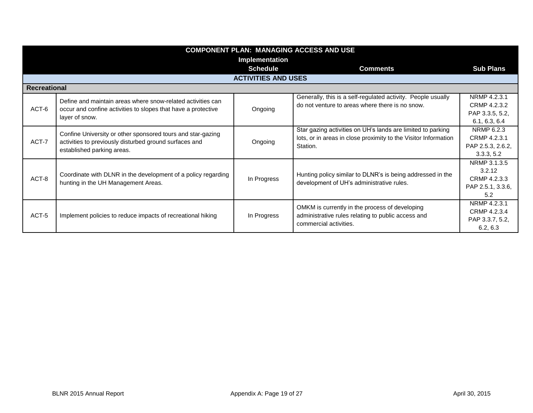|              | <b>COMPONENT PLAN: MANAGING ACCESS AND USE</b>                                                                                                      |                            |                                                                                                                                            |                                                                    |  |
|--------------|-----------------------------------------------------------------------------------------------------------------------------------------------------|----------------------------|--------------------------------------------------------------------------------------------------------------------------------------------|--------------------------------------------------------------------|--|
|              |                                                                                                                                                     | Implementation             |                                                                                                                                            |                                                                    |  |
|              |                                                                                                                                                     | <b>Schedule</b>            | <b>Comments</b>                                                                                                                            | <b>Sub Plans</b>                                                   |  |
|              |                                                                                                                                                     | <b>ACTIVITIES AND USES</b> |                                                                                                                                            |                                                                    |  |
| Recreational |                                                                                                                                                     |                            |                                                                                                                                            |                                                                    |  |
| ACT-6        | Define and maintain areas where snow-related activities can<br>occur and confine activities to slopes that have a protective<br>layer of snow.      | Ongoing                    | Generally, this is a self-regulated activity. People usually<br>do not venture to areas where there is no snow.                            | NRMP 4.2.3.1<br>CRMP 4.2.3.2<br>PAP 3.3.5, 5.2,<br>6.1, 6.3, 6.4   |  |
| ACT-7        | Confine University or other sponsored tours and star-gazing<br>activities to previously disturbed ground surfaces and<br>established parking areas. | Ongoing                    | Star gazing activities on UH's lands are limited to parking<br>lots, or in areas in close proximity to the Visitor Information<br>Station. | NRMP 6.2.3<br>CRMP 4.2.3.1<br>PAP 2.5.3, 2.6.2,<br>3.3.3, 5.2      |  |
| ACT-8        | Coordinate with DLNR in the development of a policy regarding<br>hunting in the UH Management Areas.                                                | In Progress                | Hunting policy similar to DLNR's is being addressed in the<br>development of UH's administrative rules.                                    | NRMP 3.1.3.5<br>3.2.12<br>CRMP 4.2.3.3<br>PAP 2.5.1, 3.3.6,<br>5.2 |  |
| ACT-5        | Implement policies to reduce impacts of recreational hiking                                                                                         | In Progress                | OMKM is currently in the process of developing<br>administrative rules relating to public access and<br>commercial activities.             | NRMP 4.2.3.1<br>CRMP 4.2.3.4<br>PAP 3.3.7, 5.2,<br>6.2, 6.3        |  |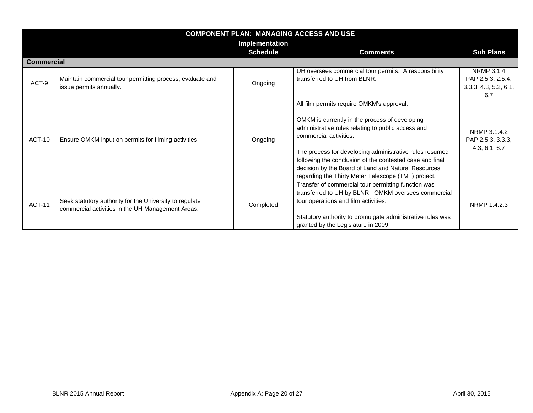|                   | <b>COMPONENT PLAN: MANAGING ACCESS AND USE</b>                                                               |                 |                                                                                                                                                                                                                                                                                                                                                                                                                  |                                                                        |
|-------------------|--------------------------------------------------------------------------------------------------------------|-----------------|------------------------------------------------------------------------------------------------------------------------------------------------------------------------------------------------------------------------------------------------------------------------------------------------------------------------------------------------------------------------------------------------------------------|------------------------------------------------------------------------|
|                   |                                                                                                              | Implementation  |                                                                                                                                                                                                                                                                                                                                                                                                                  |                                                                        |
|                   |                                                                                                              | <b>Schedule</b> | <b>Comments</b>                                                                                                                                                                                                                                                                                                                                                                                                  | <b>Sub Plans</b>                                                       |
| <b>Commercial</b> |                                                                                                              |                 |                                                                                                                                                                                                                                                                                                                                                                                                                  |                                                                        |
| ACT-9             | Maintain commercial tour permitting process; evaluate and<br>issue permits annually.                         | Ongoing         | UH oversees commercial tour permits. A responsibility<br>transferred to UH from BLNR.                                                                                                                                                                                                                                                                                                                            | <b>NRMP 3.1.4</b><br>PAP 2.5.3, 2.5.4,<br>3.3.3, 4.3, 5.2, 6.1,<br>6.7 |
| <b>ACT-10</b>     | Ensure OMKM input on permits for filming activities                                                          | Ongoing         | All film permits require OMKM's approval.<br>OMKM is currently in the process of developing<br>administrative rules relating to public access and<br>commercial activities.<br>The process for developing administrative rules resumed<br>following the conclusion of the contested case and final<br>decision by the Board of Land and Natural Resources<br>regarding the Thirty Meter Telescope (TMT) project. | NRMP 3.1.4.2<br>PAP 2.5.3, 3.3.3,<br>4.3, 6.1, 6.7                     |
| <b>ACT-11</b>     | Seek statutory authority for the University to regulate<br>commercial activities in the UH Management Areas. | Completed       | Transfer of commercial tour permitting function was<br>transferred to UH by BLNR. OMKM oversees commercial<br>tour operations and film activities.<br>Statutory authority to promulgate administrative rules was<br>granted by the Legislature in 2009.                                                                                                                                                          | NRMP 1.4.2.3                                                           |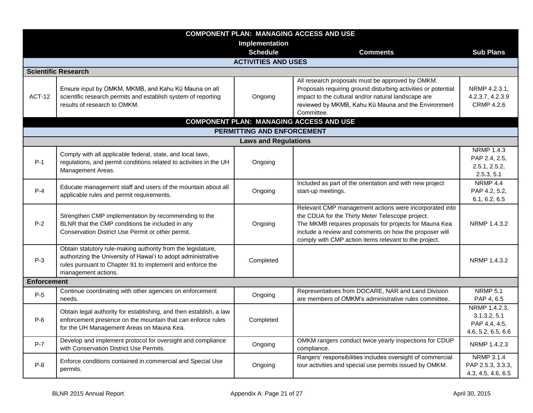| <b>COMPONENT PLAN: MANAGING ACCESS AND USE</b> |                                                                                                                                                                                                                   |                             |                                                                                                                                                                                                                                                                                         |                                                                      |
|------------------------------------------------|-------------------------------------------------------------------------------------------------------------------------------------------------------------------------------------------------------------------|-----------------------------|-----------------------------------------------------------------------------------------------------------------------------------------------------------------------------------------------------------------------------------------------------------------------------------------|----------------------------------------------------------------------|
|                                                |                                                                                                                                                                                                                   | Implementation              |                                                                                                                                                                                                                                                                                         |                                                                      |
|                                                |                                                                                                                                                                                                                   | <b>Schedule</b>             | <b>Comments</b>                                                                                                                                                                                                                                                                         | <b>Sub Plans</b>                                                     |
|                                                |                                                                                                                                                                                                                   | <b>ACTIVITIES AND USES</b>  |                                                                                                                                                                                                                                                                                         |                                                                      |
|                                                | <b>Scientific Research</b>                                                                                                                                                                                        |                             |                                                                                                                                                                                                                                                                                         |                                                                      |
| <b>ACT-12</b>                                  | Ensure input by OMKM, MKMB, and Kahu Kū Mauna on all<br>scientific research permits and establish system of reporting<br>results of research to OMKM.                                                             | Ongoing                     | All research proposals must be approved by OMKM.<br>Proposals requiring ground disturbing activities or potential<br>impact to the cultural and/or natural landscape are<br>reviewed by MKMB, Kahu Kū Mauna and the Environment<br>Committee.                                           | NRMP 4.2.3.1,<br>4.2.3.7, 4.2.3.9<br><b>CRMP 4.2.6</b>               |
|                                                |                                                                                                                                                                                                                   |                             | <b>COMPONENT PLAN: MANAGING ACCESS AND USE</b>                                                                                                                                                                                                                                          |                                                                      |
|                                                |                                                                                                                                                                                                                   | PERMITTING AND ENFORCEMENT  |                                                                                                                                                                                                                                                                                         |                                                                      |
|                                                |                                                                                                                                                                                                                   | <b>Laws and Regulations</b> |                                                                                                                                                                                                                                                                                         |                                                                      |
| $P-1$                                          | Comply with all applicable federal, state, and local laws,<br>regulations, and permit conditions related to activities in the UH<br>Management Areas.                                                             | Ongoing                     |                                                                                                                                                                                                                                                                                         | <b>NRMP 1.4.3</b><br>PAP 2.4, 2.5,<br>2.5.1, 2.5.2,<br>2.5.3, 5.1    |
| $P-4$                                          | Educate management staff and users of the mountain about all<br>applicable rules and permit requirements.                                                                                                         | Ongoing                     | Included as part of the orientation and with new project<br>start-up meetings.                                                                                                                                                                                                          | <b>NRMP 4.4</b><br>PAP 4.2, 5.2,<br>6.1, 6.2, 6.5                    |
| $P-2$                                          | Strengthen CMP implementation by recommending to the<br>BLNR that the CMP conditions be included in any<br>Conservation District Use Permit or other permit.                                                      | Ongoing                     | Relevant CMP management actions were incorporated into<br>the CDUA for the Thirty Meter Telescope project.<br>The MKMB requires proposals for projects for Mauna Kea<br>include a review and comments on how the proposer will<br>comply with CMP action items relevant to the project. | NRMP 1.4.3.2                                                         |
| $P-3$                                          | Obtain statutory rule-making authority from the legislature,<br>authorizing the University of Hawai'i to adopt administrative<br>rules pursuant to Chapter 91 to implement and enforce the<br>management actions. | Completed                   |                                                                                                                                                                                                                                                                                         | NRMP 1.4.3.2                                                         |
| <b>Enforcement</b>                             |                                                                                                                                                                                                                   |                             |                                                                                                                                                                                                                                                                                         |                                                                      |
| $P-5$                                          | Continue coordinating with other agencies on enforcement<br>needs.                                                                                                                                                | Ongoing                     | Representatives from DOCARE, NAR and Land Division<br>are members of OMKM's administrative rules committee.                                                                                                                                                                             | <b>NRMP 5.1</b><br>PAP 4, 6.5                                        |
| $P-6$                                          | Obtain legal authority for establishing, and then establish, a law<br>enforcement presence on the mountain that can enforce rules<br>for the UH Management Areas on Mauna Kea.                                    | Completed                   |                                                                                                                                                                                                                                                                                         | NRMP 1.4.2.3,<br>3.1.3.2, 5.1<br>PAP 4.4, 4.5,<br>4.6, 5.2, 6.5, 6.6 |
| $P-7$                                          | Develop and implement protocol for oversight and compliance<br>with Conservation District Use Permits.                                                                                                            | Ongoing                     | OMKM rangers conduct twice yearly inspections for CDUP<br>compliance.                                                                                                                                                                                                                   | NRMP 1.4.2.3                                                         |
| $P-8$                                          | Enforce conditions contained in commercial and Special Use<br>permits.                                                                                                                                            | Ongoing                     | Rangers' responsibilities includes oversight of commercial<br>tour activities and special use permits issued by OMKM.                                                                                                                                                                   | <b>NRMP 3.1.4</b><br>PAP 2.5.3, 3.3.3,<br>4.3, 4.5, 4.6, 6.5         |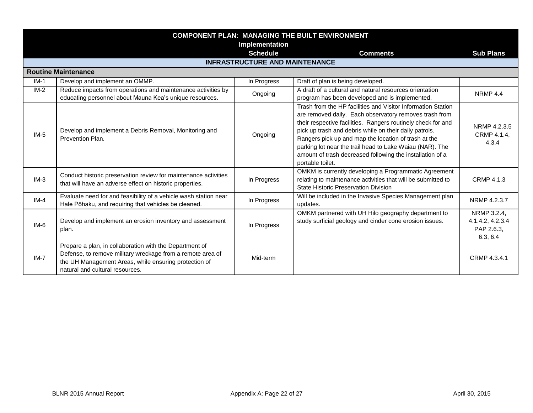| <b>COMPONENT PLAN: MANAGING THE BUILT ENVIRONMENT</b> |                                                                                                                                                                                                                   |                                       |                                                                                                                                                                                                                                                                                                                                                                                                                                                       |                                                           |
|-------------------------------------------------------|-------------------------------------------------------------------------------------------------------------------------------------------------------------------------------------------------------------------|---------------------------------------|-------------------------------------------------------------------------------------------------------------------------------------------------------------------------------------------------------------------------------------------------------------------------------------------------------------------------------------------------------------------------------------------------------------------------------------------------------|-----------------------------------------------------------|
|                                                       |                                                                                                                                                                                                                   | Implementation<br><b>Schedule</b>     | <b>Comments</b>                                                                                                                                                                                                                                                                                                                                                                                                                                       | <b>Sub Plans</b>                                          |
|                                                       |                                                                                                                                                                                                                   | <b>INFRASTRUCTURE AND MAINTENANCE</b> |                                                                                                                                                                                                                                                                                                                                                                                                                                                       |                                                           |
|                                                       | <b>Routine Maintenance</b>                                                                                                                                                                                        |                                       |                                                                                                                                                                                                                                                                                                                                                                                                                                                       |                                                           |
| $IM-1$                                                | Develop and implement an OMMP.                                                                                                                                                                                    | In Progress                           | Draft of plan is being developed.                                                                                                                                                                                                                                                                                                                                                                                                                     |                                                           |
| $IM-2$                                                | Reduce impacts from operations and maintenance activities by<br>educating personnel about Mauna Kea's unique resources.                                                                                           | Ongoing                               | A draft of a cultural and natural resources orientation<br>program has been developed and is implemented.                                                                                                                                                                                                                                                                                                                                             | NRMP 4.4                                                  |
| $IM-5$                                                | Develop and implement a Debris Removal, Monitoring and<br>Prevention Plan.                                                                                                                                        | Ongoing                               | Trash from the HP facilities and Visitor Information Station<br>are removed daily. Each observatory removes trash from<br>their respective facilities. Rangers routinely check for and<br>pick up trash and debris while on their daily patrols.<br>Rangers pick up and map the location of trash at the<br>parking lot near the trail head to Lake Waiau (NAR). The<br>amount of trash decreased following the installation of a<br>portable toilet. | NRMP 4.2.3.5<br>CRMP 4.1.4,<br>4.3.4                      |
| $IM-3$                                                | Conduct historic preservation review for maintenance activities<br>that will have an adverse effect on historic properties.                                                                                       | In Progress                           | OMKM is currently developing a Programmatic Agreement<br>relating to maintenance activities that will be submitted to<br>State Historic Preservation Division                                                                                                                                                                                                                                                                                         | <b>CRMP 4.1.3</b>                                         |
| $IM-4$                                                | Evaluate need for and feasibility of a vehicle wash station near<br>Hale Pōhaku, and requiring that vehicles be cleaned.                                                                                          | In Progress                           | Will be included in the Invasive Species Management plan<br>updates.                                                                                                                                                                                                                                                                                                                                                                                  | NRMP 4.2.3.7                                              |
| $IM-6$                                                | Develop and implement an erosion inventory and assessment<br>plan.                                                                                                                                                | In Progress                           | OMKM partnered with UH Hilo geography department to<br>study surficial geology and cinder cone erosion issues.                                                                                                                                                                                                                                                                                                                                        | NRMP 3.2.4,<br>4.1.4.2, 4.2.3.4<br>PAP 2.6.3,<br>6.3, 6.4 |
| $IM-7$                                                | Prepare a plan, in collaboration with the Department of<br>Defense, to remove military wreckage from a remote area of<br>the UH Management Areas, while ensuring protection of<br>natural and cultural resources. | Mid-term                              |                                                                                                                                                                                                                                                                                                                                                                                                                                                       | CRMP 4.3.4.1                                              |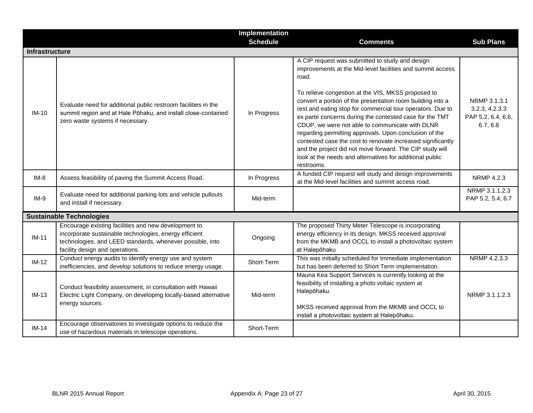|                       |                                                                                                                                                                                                                | Implementation  |                                                                                                                                                                                                                                                                                                                                                                                                                                                                                                                                                                                                                                                                                       |                                                                  |
|-----------------------|----------------------------------------------------------------------------------------------------------------------------------------------------------------------------------------------------------------|-----------------|---------------------------------------------------------------------------------------------------------------------------------------------------------------------------------------------------------------------------------------------------------------------------------------------------------------------------------------------------------------------------------------------------------------------------------------------------------------------------------------------------------------------------------------------------------------------------------------------------------------------------------------------------------------------------------------|------------------------------------------------------------------|
|                       |                                                                                                                                                                                                                | <b>Schedule</b> | <b>Comments</b>                                                                                                                                                                                                                                                                                                                                                                                                                                                                                                                                                                                                                                                                       | <b>Sub Plans</b>                                                 |
| <b>Infrastructure</b> |                                                                                                                                                                                                                |                 |                                                                                                                                                                                                                                                                                                                                                                                                                                                                                                                                                                                                                                                                                       |                                                                  |
| $IM-10$               | Evaluate need for additional public restroom facilities in the<br>summit region and at Hale Pōhaku, and install close-contained<br>zero waste systems if necessary.                                            | In Progress     | A CIP request was submitted to study and design<br>improvements at the Mid-level facilities and summit access<br>road.<br>To relieve congestion at the VIS, MKSS proposed to<br>convert a portion of the presentation room building into a<br>rest and eating stop for commercial tour operators. Due to<br>ex parte concerns during the contested case for the TMT<br>CDUP, we were not able to communicate with DLNR<br>regarding permitting approvals. Upon conclusion of the<br>contested case the cost to renovate increased significantly<br>and the project did not move forward. The CIP study will<br>look at the needs and alternatives for additional public<br>restrooms. | NRMP 3.1.3.1<br>3.2.3, 4.2.3.3<br>PAP 5.2, 6.4, 6.6,<br>6.7, 6.8 |
| $IM-8$                | Assess feasibility of paving the Summit Access Road.                                                                                                                                                           | In Progress     | A funded CIP request will study and design improvements<br>at the Mid-level facilities and summit access road.                                                                                                                                                                                                                                                                                                                                                                                                                                                                                                                                                                        | NRMP 4.2.3                                                       |
| $IM-9$                | Evaluate need for additional parking lots and vehicle pullouts<br>and install if necessary.                                                                                                                    | Mid-term        |                                                                                                                                                                                                                                                                                                                                                                                                                                                                                                                                                                                                                                                                                       | NRMP 3.1.1.2.3<br>PAP 5.2, 5.4, 6.7                              |
|                       | <b>Sustainable Technologies</b>                                                                                                                                                                                |                 |                                                                                                                                                                                                                                                                                                                                                                                                                                                                                                                                                                                                                                                                                       |                                                                  |
| $IM-11$               | Encourage existing facilities and new development to<br>incorporate sustainable technologies, energy efficient<br>technologies, and LEED standards, whenever possible, into<br>facility design and operations. | Ongoing         | The proposed Thirty Meter Telescope is incorporating<br>energy efficiency in its design. MKSS received approval<br>from the MKMB and OCCL to install a photovoltaic system<br>at Halepōhaku                                                                                                                                                                                                                                                                                                                                                                                                                                                                                           |                                                                  |
| $IM-12$               | Conduct energy audits to identify energy use and system<br>inefficiencies, and develop solutions to reduce energy usage.                                                                                       | Short-Term      | This was initially scheduled for Immediate implementation<br>but has been deferred to Short Term implementation.                                                                                                                                                                                                                                                                                                                                                                                                                                                                                                                                                                      | NRMP 4.2.3.3                                                     |
| $IM-13$               | Conduct feasibility assessment, in consultation with Hawaii<br>Electric Light Company, on developing locally-based alternative<br>energy sources.                                                              | Mid-term        | Mauna Kea Support Services is currently looking at the<br>feasibility of installing a photo voltaic system at<br>Halepōhaku.<br>MKSS received approval from the MKMB and OCCL to<br>install a photovoltaic system at Halepōhaku.                                                                                                                                                                                                                                                                                                                                                                                                                                                      | NRMP 3.1.1.2.3                                                   |
| $IM-14$               | Encourage observatories to investigate options to reduce the<br>use of hazardous materials in telescope operations.                                                                                            | Short-Term      |                                                                                                                                                                                                                                                                                                                                                                                                                                                                                                                                                                                                                                                                                       |                                                                  |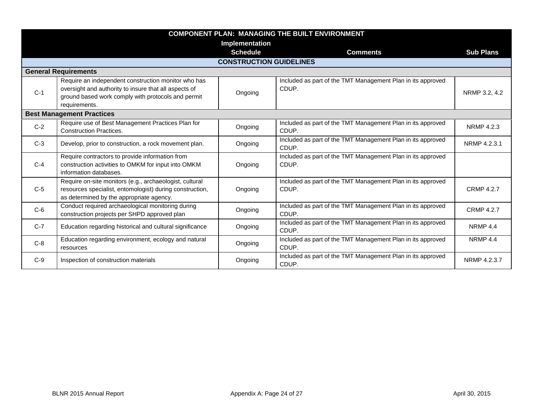| <b>COMPONENT PLAN: MANAGING THE BUILT ENVIRONMENT</b> |                                                                                                      |                                |                                                                      |                     |  |  |
|-------------------------------------------------------|------------------------------------------------------------------------------------------------------|--------------------------------|----------------------------------------------------------------------|---------------------|--|--|
|                                                       | Implementation                                                                                       |                                |                                                                      |                     |  |  |
|                                                       |                                                                                                      | <b>Schedule</b>                | <b>Comments</b>                                                      | <b>Sub Plans</b>    |  |  |
|                                                       |                                                                                                      | <b>CONSTRUCTION GUIDELINES</b> |                                                                      |                     |  |  |
|                                                       | <b>General Requirements</b>                                                                          |                                |                                                                      |                     |  |  |
|                                                       | Require an independent construction monitor who has                                                  |                                | Included as part of the TMT Management Plan in its approved          |                     |  |  |
| $C-1$                                                 | oversight and authority to insure that all aspects of                                                | Ongoing                        | CDUP.                                                                | NRMP 3.2, 4.2       |  |  |
|                                                       | ground based work comply with protocols and permit                                                   |                                |                                                                      |                     |  |  |
|                                                       | requirements.                                                                                        |                                |                                                                      |                     |  |  |
|                                                       | <b>Best Management Practices</b>                                                                     |                                |                                                                      |                     |  |  |
| $C-2$                                                 | Require use of Best Management Practices Plan for<br><b>Construction Practices.</b>                  | Ongoing                        | Included as part of the TMT Management Plan in its approved<br>CDUP. | NRMP 4.2.3          |  |  |
| $C-3$                                                 | Develop, prior to construction, a rock movement plan.                                                | Ongoing                        | Included as part of the TMT Management Plan in its approved<br>CDUP. | NRMP 4.2.3.1        |  |  |
|                                                       | Require contractors to provide information from                                                      |                                | Included as part of the TMT Management Plan in its approved          |                     |  |  |
| $C-4$                                                 | construction activities to OMKM for input into OMKM                                                  | Ongoing                        | CDUP.                                                                |                     |  |  |
|                                                       | information databases.                                                                               |                                |                                                                      |                     |  |  |
|                                                       | Require on-site monitors (e.g., archaeologist, cultural                                              |                                | Included as part of the TMT Management Plan in its approved          |                     |  |  |
| $C-5$                                                 | resources specialist, entomologist) during construction,<br>as determined by the appropriate agency. | Ongoing                        | CDUP.                                                                | <b>CRMP 4.2.7</b>   |  |  |
| $C-6$                                                 | Conduct required archaeological monitoring during                                                    | Ongoing                        | Included as part of the TMT Management Plan in its approved          | <b>CRMP 4.2.7</b>   |  |  |
|                                                       | construction projects per SHPD approved plan                                                         |                                | CDUP.                                                                |                     |  |  |
| $C-7$                                                 | Education regarding historical and cultural significance                                             | Ongoing                        | Included as part of the TMT Management Plan in its approved<br>CDUP. | NRMP <sub>4.4</sub> |  |  |
| $C-8$                                                 | Education regarding environment, ecology and natural                                                 | Ongoing                        | Included as part of the TMT Management Plan in its approved          | NRMP <sub>4.4</sub> |  |  |
|                                                       | resources                                                                                            |                                | CDUP.                                                                |                     |  |  |
| $C-9$                                                 | Inspection of construction materials                                                                 | Ongoing                        | Included as part of the TMT Management Plan in its approved<br>CDUP. | NRMP 4.2.3.7        |  |  |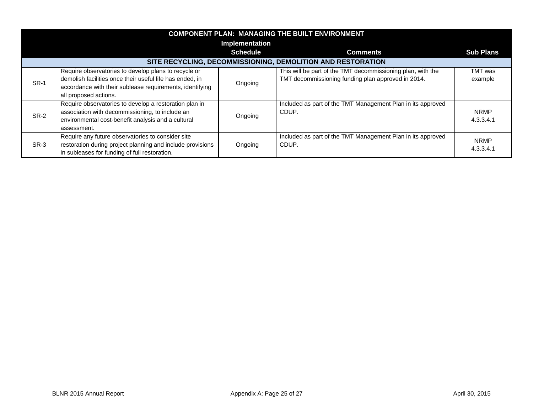| <b>COMPONENT PLAN: MANAGING THE BUILT ENVIRONMENT</b> |                                                                                                                                                                                                       |                 |                                                                                                                   |                          |  |  |
|-------------------------------------------------------|-------------------------------------------------------------------------------------------------------------------------------------------------------------------------------------------------------|-----------------|-------------------------------------------------------------------------------------------------------------------|--------------------------|--|--|
|                                                       | <b>Implementation</b>                                                                                                                                                                                 |                 |                                                                                                                   |                          |  |  |
|                                                       |                                                                                                                                                                                                       | <b>Schedule</b> | <b>Comments</b>                                                                                                   | <b>Sub Plans</b>         |  |  |
|                                                       |                                                                                                                                                                                                       |                 | SITE RECYCLING, DECOMMISSIONING, DEMOLITION AND RESTORATION                                                       |                          |  |  |
| <b>SR-1</b>                                           | Require observatories to develop plans to recycle or<br>demolish facilities once their useful life has ended, in<br>accordance with their sublease requirements, identifying<br>all proposed actions. | Ongoing         | This will be part of the TMT decommissioning plan, with the<br>TMT decommissioning funding plan approved in 2014. | TMT was<br>example       |  |  |
| SR-2                                                  | Require observatories to develop a restoration plan in<br>association with decommissioning, to include an<br>environmental cost-benefit analysis and a cultural<br>assessment.                        | Ongoing         | Included as part of the TMT Management Plan in its approved<br>CDUP.                                              | <b>NRMP</b><br>4.3.3.4.1 |  |  |
| SR-3                                                  | Require any future observatories to consider site<br>restoration during project planning and include provisions<br>in subleases for funding of full restoration.                                      | Ongoing         | Included as part of the TMT Management Plan in its approved<br>CDUP.                                              | <b>NRMP</b><br>4.3.3.4.1 |  |  |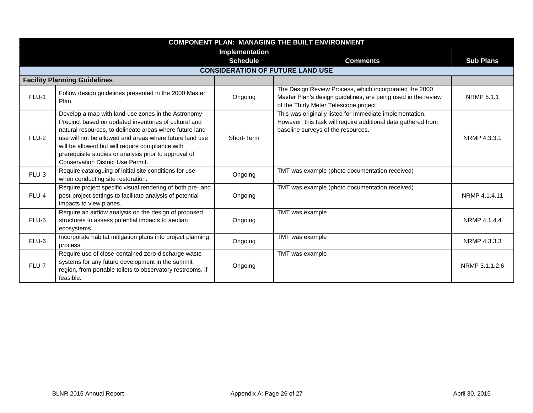| <b>COMPONENT PLAN: MANAGING THE BUILT ENVIRONMENT</b> |                                                                                                                                                                                                                                                                                                                                                                                            |                 |                                                                                                                                                                  |                   |  |  |
|-------------------------------------------------------|--------------------------------------------------------------------------------------------------------------------------------------------------------------------------------------------------------------------------------------------------------------------------------------------------------------------------------------------------------------------------------------------|-----------------|------------------------------------------------------------------------------------------------------------------------------------------------------------------|-------------------|--|--|
|                                                       | Implementation                                                                                                                                                                                                                                                                                                                                                                             |                 |                                                                                                                                                                  |                   |  |  |
|                                                       |                                                                                                                                                                                                                                                                                                                                                                                            | <b>Schedule</b> | <b>Comments</b>                                                                                                                                                  | <b>Sub Plans</b>  |  |  |
|                                                       |                                                                                                                                                                                                                                                                                                                                                                                            |                 | <b>CONSIDERATION OF FUTURE LAND USE</b>                                                                                                                          |                   |  |  |
|                                                       | <b>Facility Planning Guidelines</b>                                                                                                                                                                                                                                                                                                                                                        |                 |                                                                                                                                                                  |                   |  |  |
| FLU-1                                                 | Follow design guidelines presented in the 2000 Master<br>Plan.                                                                                                                                                                                                                                                                                                                             | Ongoing         | The Design Review Process, which incorporated the 2000<br>Master Plan's design guidelines, are being used in the review<br>of the Thirty Meter Telescope project | <b>NRMP 5.1.1</b> |  |  |
| FLU-2                                                 | Develop a map with land-use zones in the Astronomy<br>Precinct based on updated inventories of cultural and<br>natural resources, to delineate areas where future land<br>use will not be allowed and areas where future land use<br>will be allowed but will require compliance with<br>prerequisite studies or analysis prior to approval of<br><b>Conservation District Use Permit.</b> | Short-Term      | This was originally listed for Immediate implementation.<br>However, this task will require additional data gathered from<br>baseline surveys of the resources.  | NRMP 4.3.3.1      |  |  |
| $FLU-3$                                               | Require cataloguing of initial site conditions for use<br>when conducting site restoration.                                                                                                                                                                                                                                                                                                | Ongoing         | TMT was example (photo documentation received)                                                                                                                   |                   |  |  |
| FLU-4                                                 | Require project specific visual rendering of both pre- and<br>post-project settings to facilitate analysis of potential<br>impacts to view planes.                                                                                                                                                                                                                                         | Ongoing         | TMT was example (photo documentation received)                                                                                                                   | NRMP 4.1.4.11     |  |  |
| FLU-5                                                 | Require an airflow analysis on the design of proposed<br>structures to assess potential impacts to aeolian<br>ecosystems.                                                                                                                                                                                                                                                                  | Ongoing         | TMT was example                                                                                                                                                  | NRMP 4.1.4.4      |  |  |
| FLU-6                                                 | Incorporate habitat mitigation plans into project planning<br>process.                                                                                                                                                                                                                                                                                                                     | Ongoing         | TMT was example                                                                                                                                                  | NRMP 4.3.3.3      |  |  |
| FLU-7                                                 | Require use of close-contained zero-discharge waste<br>systems for any future development in the summit<br>region, from portable toilets to observatory restrooms, if<br>feasible.                                                                                                                                                                                                         | Ongoing         | TMT was example                                                                                                                                                  | NRMP 3.1.1.2.6    |  |  |